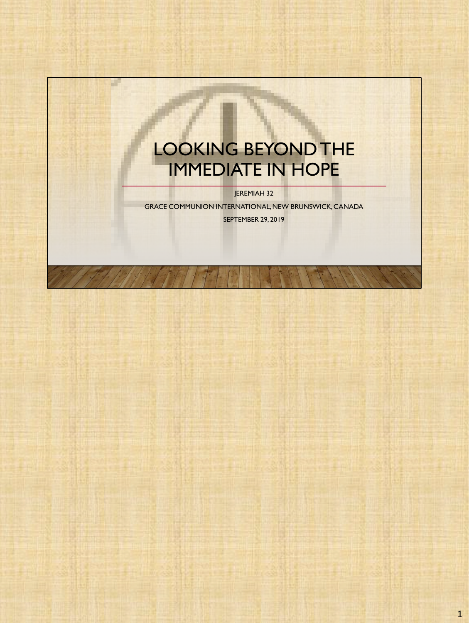## LOOKING BEYOND THE IMMEDIATE IN HOPE

a l

JEREMIAH 32

GRACE COMMUNION INTERNATIONAL, NEW BRUNSWICK, CANADA SEPTEMBER 29, 2019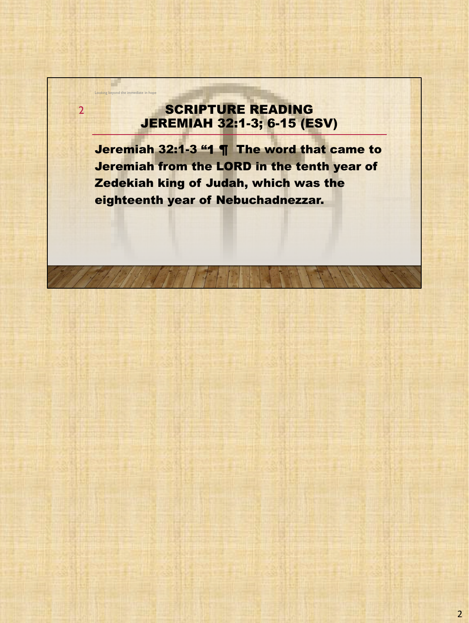### SCRIPTURE READING JEREMIAH 32:1-3; 6-15 (ESV)

Looking beyond the im-

a l

2

Jeremiah 32:1-3 "1 ¶ The word that came to Jeremiah from the LORD in the tenth year of Zedekiah king of Judah, which was the eighteenth year of Nebuchadnezzar.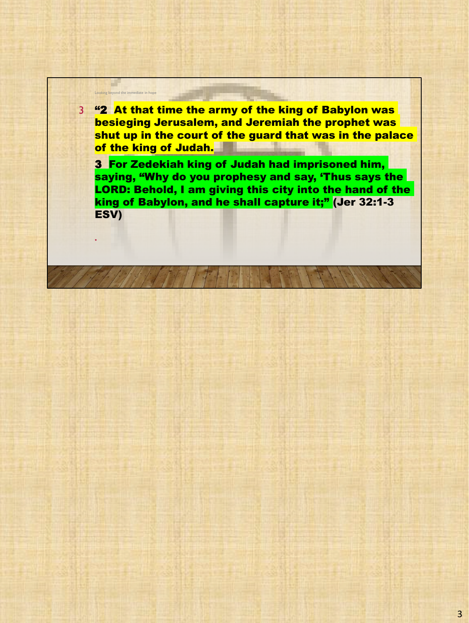3 "2 At that time the army of the king of Babylon was besieging Jerusalem, and Jeremiah the prophet was shut up in the court of the guard that was in the palace of the king of Judah.

Looking beyo

•

3 For Zedekiah king of Judah had imprisoned him, saying, "Why do you prophesy and say, 'Thus says the LORD: Behold, I am giving this city into the hand of the king of Babylon, and he shall capture it;" (Jer 32:1-3 ESV)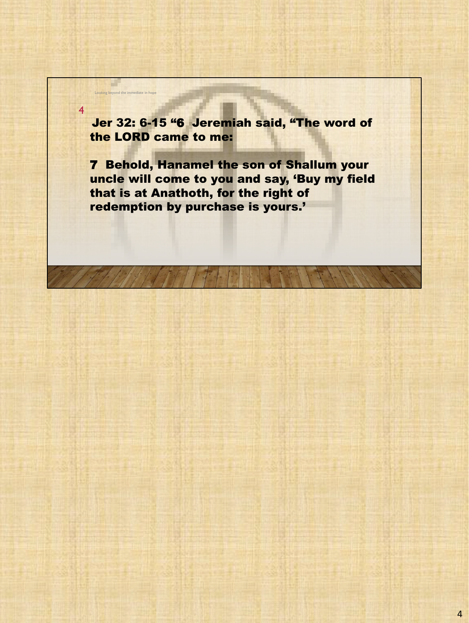Jer 32: 6-15 "6 Jeremiah said, "The word of the LORD came to me:

4

Looking beyond the immediate in hope

a control

7 Behold, Hanamel the son of Shallum your uncle will come to you and say, 'Buy my field that is at Anathoth, for the right of redemption by purchase is yours.'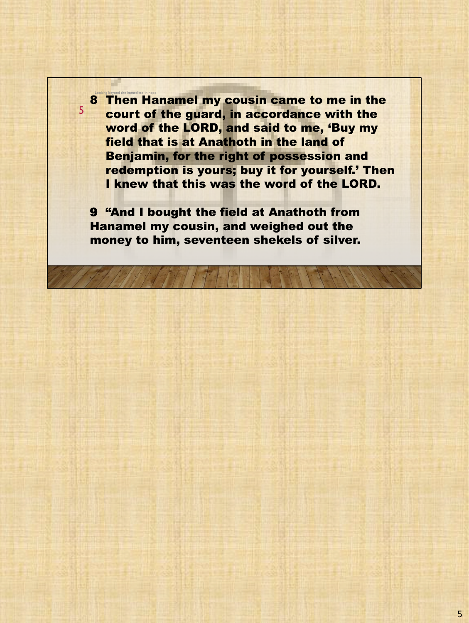8 Then Hanamel my cousin came to me in the court of the guard, in accordance with the word of the LORD, and said to me, 'Buy my field that is at Anathoth in the land of Benjamin, for the right of possession and redemption is yours; buy it for yourself.' Then I knew that this was the word of the LORD.

9 "And I bought the field at Anathoth from Hanamel my cousin, and weighed out the money to him, seventeen shekels of silver.

5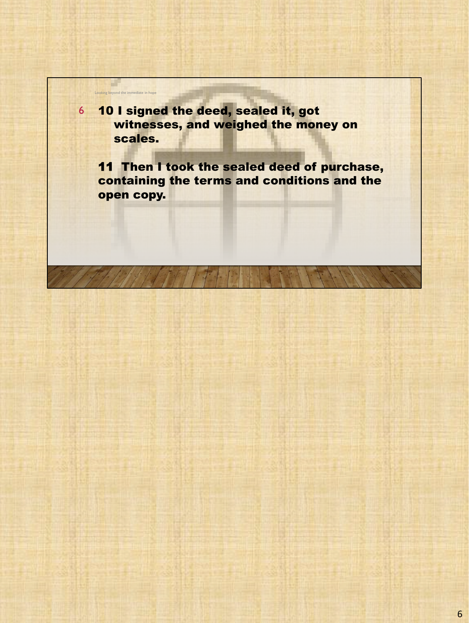6 10 I signed the deed, sealed it, got witnesses, and weighed the money on scales.

Looking beyond the immediate in hope

a.

11 Then I took the sealed deed of purchase, containing the terms and conditions and the open copy.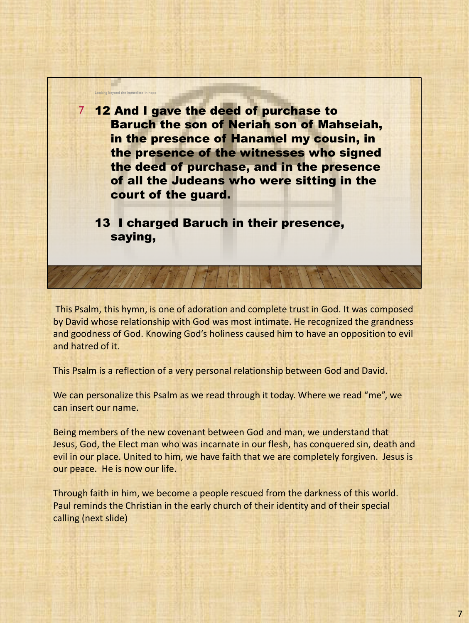

This Psalm, this hymn, is one of adoration and complete trust in God. It was composed by David whose relationship with God was most intimate. He recognized the grandness and goodness of God. Knowing God's holiness caused him to have an opposition to evil and hatred of it.

This Psalm is a reflection of a very personal relationship between God and David.

We can personalize this Psalm as we read through it today. Where we read "me", we can insert our name.

Being members of the new covenant between God and man, we understand that Jesus, God, the Elect man who was incarnate in our flesh, has conquered sin, death and evil in our place. United to him, we have faith that we are completely forgiven. Jesus is our peace. He is now our life.

Through faith in him, we become a people rescued from the darkness of this world. Paul reminds the Christian in the early church of their identity and of their special calling (next slide)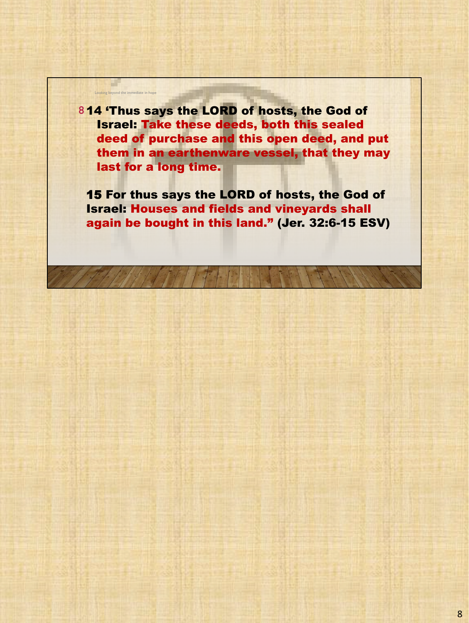8 14 'Thus says the LORD of hosts, the God of Israel: Take these deeds, both this sealed deed of purchase and this open deed, and put them in an earthenware vessel, that they may last for a long time.

Looking beyond the

a la

15 For thus says the LORD of hosts, the God of Israel: Houses and fields and vineyards shall again be bought in this land." (Jer. 32:6-15 ESV)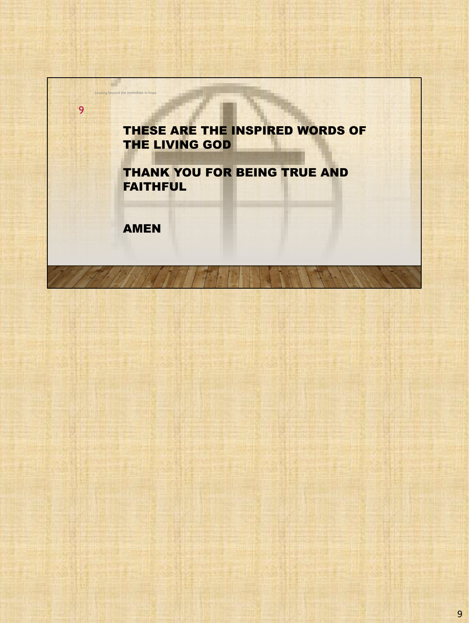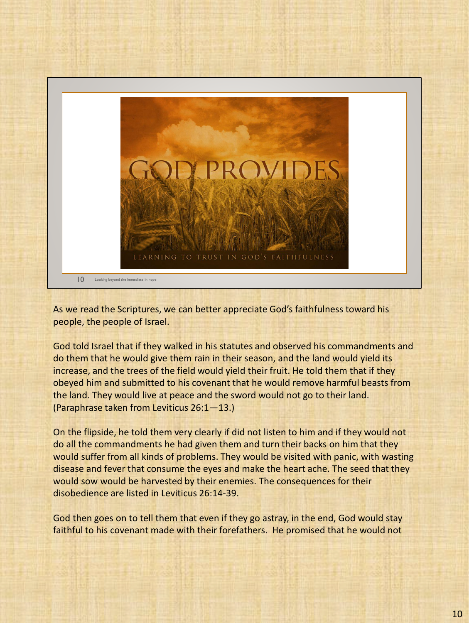

As we read the Scriptures, we can better appreciate God's faithfulness toward his people, the people of Israel.

God told Israel that if they walked in his statutes and observed his commandments and do them that he would give them rain in their season, and the land would yield its increase, and the trees of the field would yield their fruit. He told them that if they obeyed him and submitted to his covenant that he would remove harmful beasts from the land. They would live at peace and the sword would not go to their land. (Paraphrase taken from Leviticus 26:1—13.)

On the flipside, he told them very clearly if did not listen to him and if they would not do all the commandments he had given them and turn their backs on him that they would suffer from all kinds of problems. They would be visited with panic, with wasting disease and fever that consume the eyes and make the heart ache. The seed that they would sow would be harvested by their enemies. The consequences for their disobedience are listed in Leviticus 26:14-39.

God then goes on to tell them that even if they go astray, in the end, God would stay faithful to his covenant made with their forefathers. He promised that he would not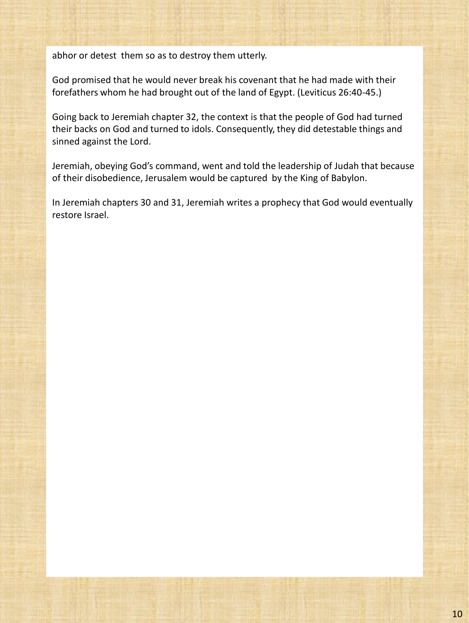abhor or detest them so as to destroy them utterly.

God promised that he would never break his covenant that he had made with their forefathers whom he had brought out of the land of Egypt. (Leviticus 26:40-45.)

Going back to Jeremiah chapter 32, the context is that the people of God had turned their backs on God and turned to idols. Consequently, they did detestable things and sinned against the Lord.

Jeremiah, obeying God's command, went and told the leadership of Judah that because of their disobedience, Jerusalem would be captured by the King of Babylon.

In Jeremiah chapters 30 and 31, Jeremiah writes a prophecy that God would eventually restore Israel.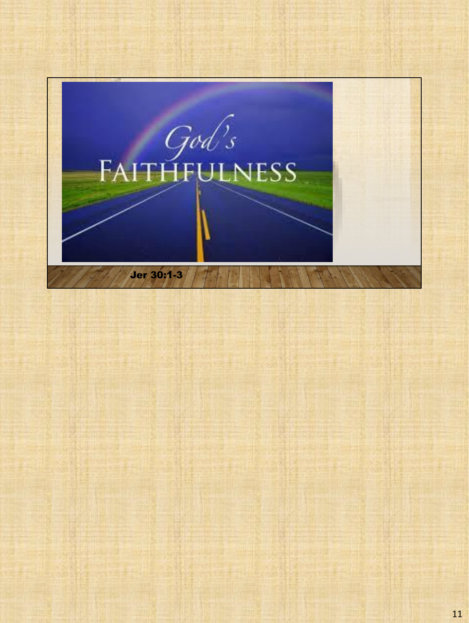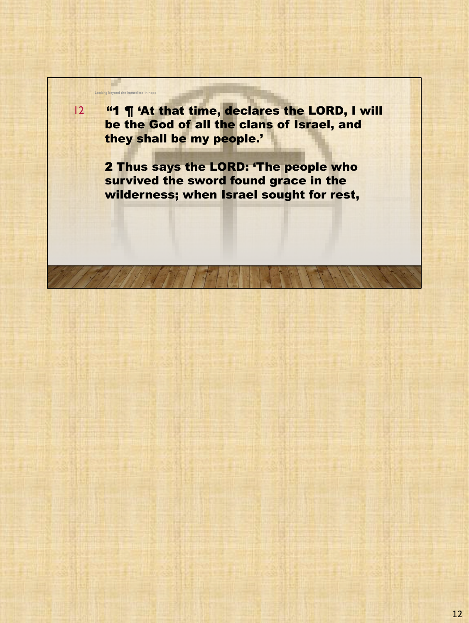Looking beyond 12 "1 ¶ 'At that time, declares the LORD, I will be the God of all the clans of Israel, and they shall be my people.'

a l

2 Thus says the LORD: 'The people who survived the sword found grace in the wilderness; when Israel sought for rest,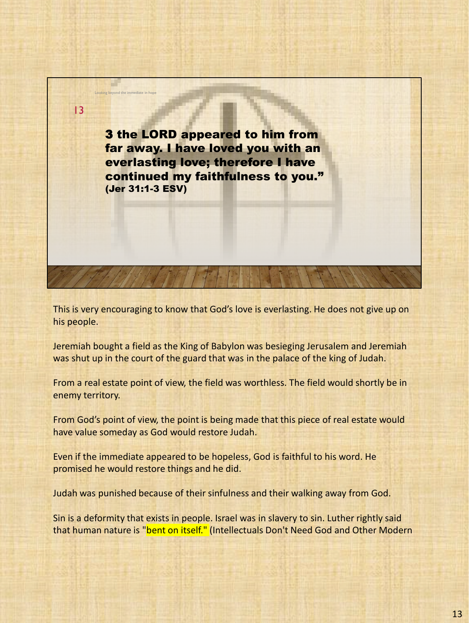3 the LORD appeared to him from far away. I have loved you with an everlasting love; therefore I have continued my faithfulness to you." (Jer 31:1-3 ESV)

Looking beyond the immediate in h

13

This is very encouraging to know that God's love is everlasting. He does not give up on his people.

Jeremiah bought a field as the King of Babylon was besieging Jerusalem and Jeremiah was shut up in the court of the guard that was in the palace of the king of Judah.

From a real estate point of view, the field was worthless. The field would shortly be in enemy territory.

From God's point of view, the point is being made that this piece of real estate would have value someday as God would restore Judah.

Even if the immediate appeared to be hopeless, God is faithful to his word. He promised he would restore things and he did.

Judah was punished because of their sinfulness and their walking away from God.

Sin is a deformity that exists in people. Israel was in slavery to sin. Luther rightly said that human nature is "bent on itself." (Intellectuals Don't Need God and Other Modern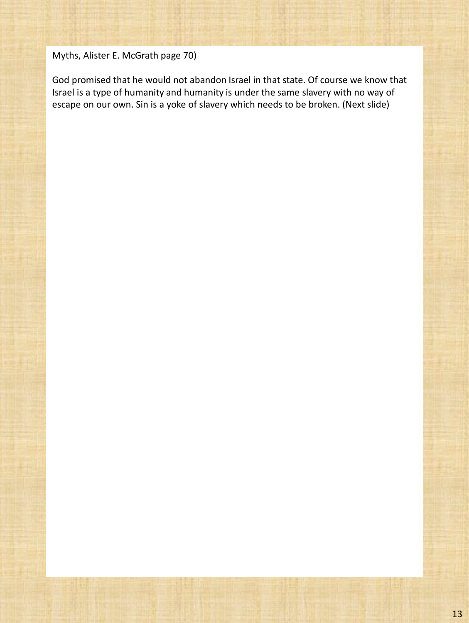#### Myths, Alister E. McGrath page 70)

God promised that he would not abandon Israel in that state. Of course we know that Israel is a type of humanity and humanity is under the same slavery with no way of escape on our own. Sin is a yoke of slavery which needs to be broken. (Next slide)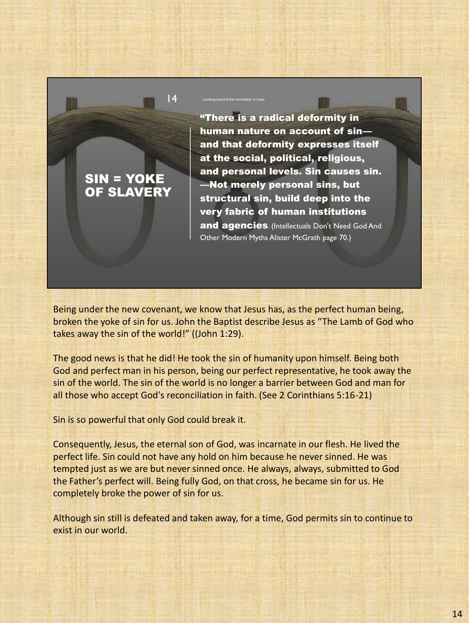## SIN = YOKE OF SLAVERY

• "There is a radical deformity in human nature on account of sin and that deformity expresses itself at the social, political, religious, and personal levels. Sin causes sin. —Not merely personal sins, but structural sin, build deep into the very fabric of human institutions and agencies. (Intellectuals Don't Need God And

Other Modern Myths Alister McGrath page 70.)

Being under the new covenant, we know that Jesus has, as the perfect human being, broken the yoke of sin for us. John the Baptist describe Jesus as "The Lamb of God who takes away the sin of the world!" ((John 1:29).

14 Looking beyond the immediate in hope

The good news is that he did! He took the sin of humanity upon himself. Being both God and perfect man in his person, being our perfect representative, he took away the sin of the world. The sin of the world is no longer a barrier between God and man for all those who accept God's reconciliation in faith. (See 2 Corinthians 5:16-21)

Sin is so powerful that only God could break it.

Consequently, Jesus, the eternal son of God, was incarnate in our flesh. He lived the perfect life. Sin could not have any hold on him because he never sinned. He was tempted just as we are but never sinned once. He always, always, submitted to God the Father's perfect will. Being fully God, on that cross, he became sin for us. He completely broke the power of sin for us.

Although sin still is defeated and taken away, for a time, God permits sin to continue to exist in our world.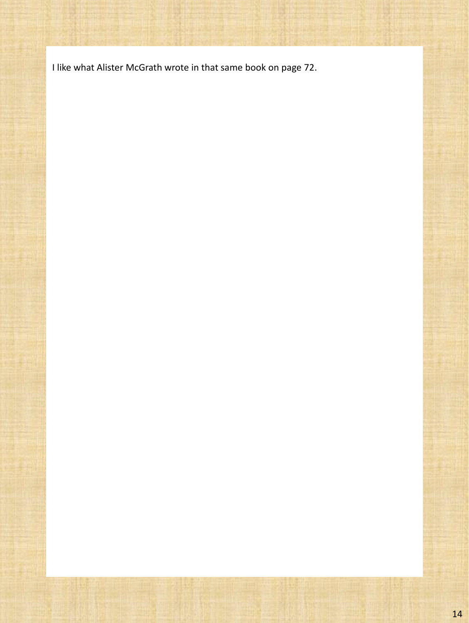I like what Alister McGrath wrote in that same book on page 72.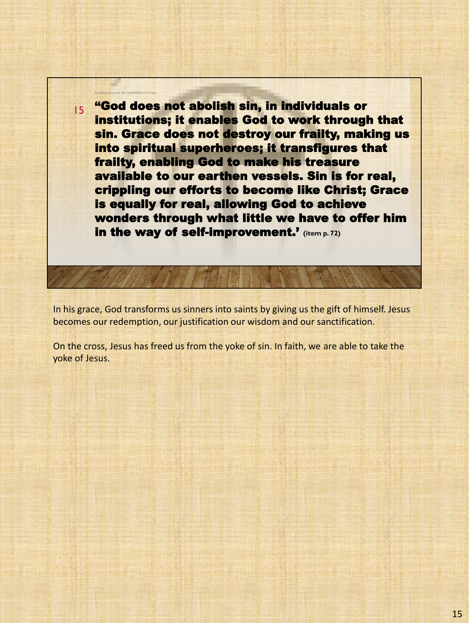"God does not abolish sin, in individuals or institutions; it enables God to work through that sin. Grace does not destroy our frailty, making us into spiritual superheroes; it transfigures that frailty, enabling God to make his treasure available to our earthen vessels. Sin is for real, crippling our efforts to become like Christ; Grace is equally for real, allowing God to achieve wonders through what little we have to offer him in the way of self-improvement.' **(item p. 72)**

Looking beyond the immediate in hope

15

In his grace, God transforms us sinners into saints by giving us the gift of himself. Jesus becomes our redemption, our justification our wisdom and our sanctification.

On the cross, Jesus has freed us from the yoke of sin. In faith, we are able to take the yoke of Jesus.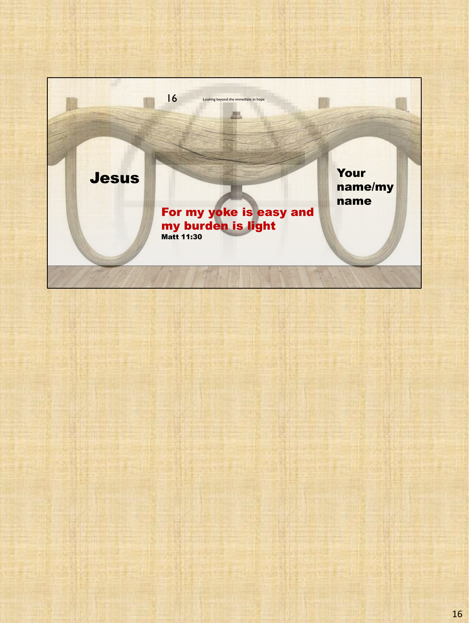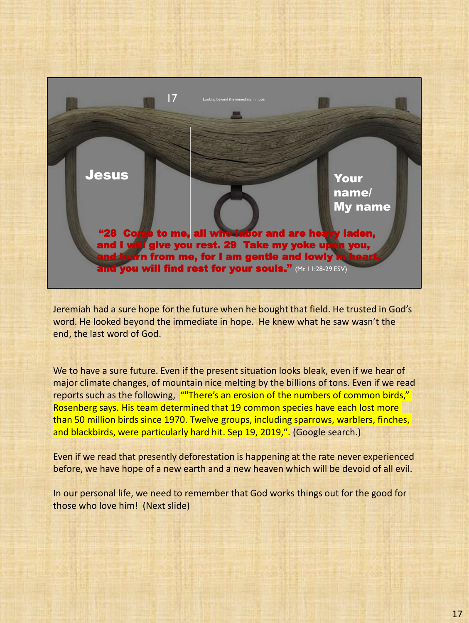

Jeremiah had a sure hope for the future when he bought that field. He trusted in God's word. He looked beyond the immediate in hope. He knew what he saw wasn't the end, the last word of God.

We to have a sure future. Even if the present situation looks bleak, even if we hear of major climate changes, of mountain nice melting by the billions of tons. Even if we read reports such as the following, ""There's an erosion of the numbers of common birds," Rosenberg says. His team determined that 19 common species have each lost more than 50 million birds since 1970. Twelve groups, including sparrows, warblers, finches, and blackbirds, were particularly hard hit. Sep 19, 2019,″. (Google search.)

Even if we read that presently deforestation is happening at the rate never experienced before, we have hope of a new earth and a new heaven which will be devoid of all evil.

In our personal life, we need to remember that God works things out for the good for those who love him! (Next slide)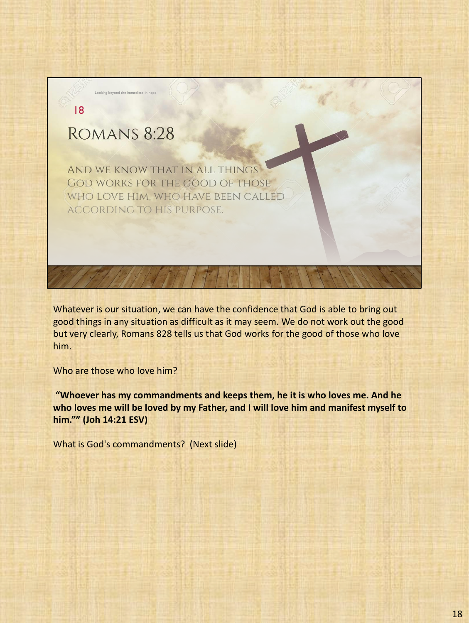# ROMANS 8:28

18

Looking beyond the immediate in hope

AND WE KNOW THAT IN ALL THINGS **GOD WORKS FOR THE GOOD OF THOSE** WHO LOVE HIM, WHO HAVE BEEN CALLED ACCORDING TO HIS PURPOSE.

Whatever is our situation, we can have the confidence that God is able to bring out good things in any situation as difficult as it may seem. We do not work out the good but very clearly, Romans 828 tells us that God works for the good of those who love him.

Who are those who love him?

**"Whoever has my commandments and keeps them, he it is who loves me. And he who loves me will be loved by my Father, and I will love him and manifest myself to him."" (Joh 14:21 ESV)**

What is God's commandments? (Next slide)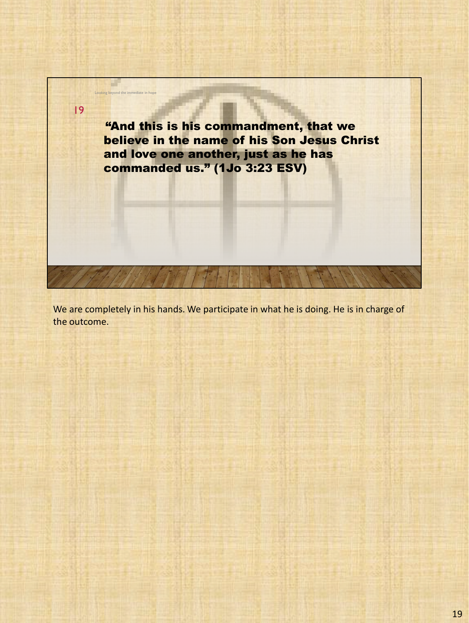

We are completely in his hands. We participate in what he is doing. He is in charge of the outcome.